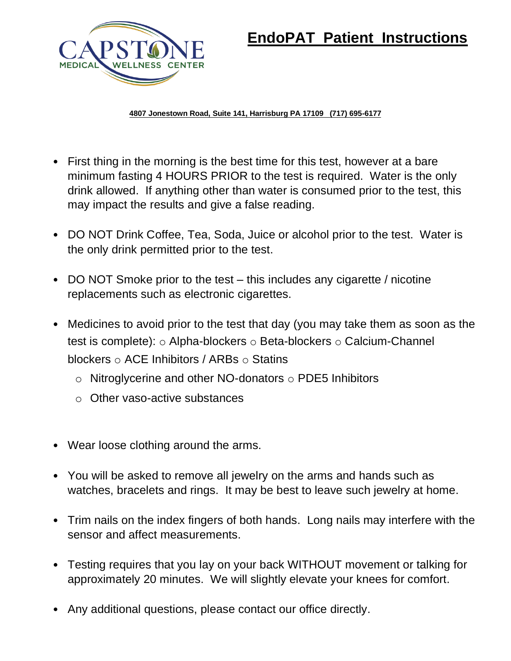

# **EndoPAT Patient Instructions**

**4807 Jonestown Road, Suite 141, Harrisburg PA 17109 (717) 695-6177**

- First thing in the morning is the best time for this test, however at a bare minimum fasting 4 HOURS PRIOR to the test is required. Water is the only drink allowed. If anything other than water is consumed prior to the test, this may impact the results and give a false reading.
- DO NOT Drink Coffee, Tea, Soda, Juice or alcohol prior to the test. Water is the only drink permitted prior to the test.
- DO NOT Smoke prior to the test this includes any cigarette / nicotine replacements such as electronic cigarettes.
- Medicines to avoid prior to the test that day (you may take them as soon as the test is complete): o Alpha-blockers o Beta-blockers o Calcium-Channel blockers o ACE Inhibitors / ARBs o Statins
	- $\circ$  Nitroglycerine and other NO-donators  $\circ$  PDE5 Inhibitors
	- o Other vaso-active substances
- Wear loose clothing around the arms.
- You will be asked to remove all jewelry on the arms and hands such as watches, bracelets and rings. It may be best to leave such jewelry at home.
- Trim nails on the index fingers of both hands. Long nails may interfere with the sensor and affect measurements.
- Testing requires that you lay on your back WITHOUT movement or talking for approximately 20 minutes. We will slightly elevate your knees for comfort.
- Any additional questions, please contact our office directly.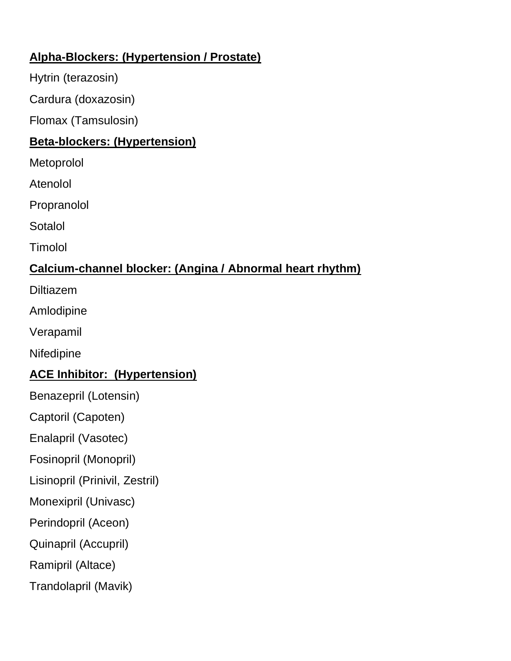#### **Alpha-Blockers: (Hypertension / Prostate)**

Hytrin (terazosin)

Cardura (doxazosin)

Flomax (Tamsulosin)

# **Beta-blockers: (Hypertension)**

**Metoprolol** 

Atenolol

Propranolol

Sotalol

Timolol

# **Calcium-channel blocker: (Angina / Abnormal heart rhythm)**

Diltiazem

Amlodipine

Verapamil

**Nifedipine** 

# **ACE Inhibitor: (Hypertension)**

Benazepril (Lotensin)

Captoril (Capoten)

Enalapril (Vasotec)

Fosinopril (Monopril)

Lisinopril (Prinivil, Zestril)

Monexipril (Univasc)

Perindopril (Aceon)

Quinapril (Accupril)

Ramipril (Altace)

Trandolapril (Mavik)